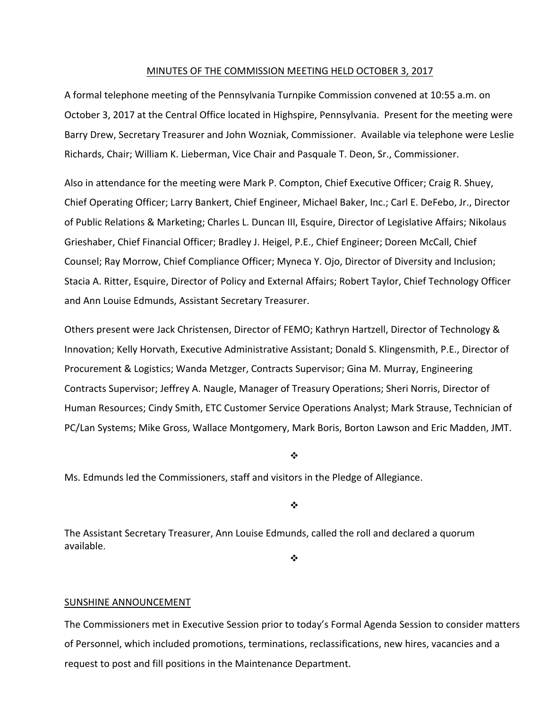#### MINUTES OF THE COMMISSION MEETING HELD OCTOBER 3, 2017

A formal telephone meeting of the Pennsylvania Turnpike Commission convened at 10:55 a.m. on October 3, 2017 at the Central Office located in Highspire, Pennsylvania. Present for the meeting were Barry Drew, Secretary Treasurer and John Wozniak, Commissioner. Available via telephone were Leslie Richards, Chair; William K. Lieberman, Vice Chair and Pasquale T. Deon, Sr., Commissioner.

Also in attendance for the meeting were Mark P. Compton, Chief Executive Officer; Craig R. Shuey, Chief Operating Officer; Larry Bankert, Chief Engineer, Michael Baker, Inc.; Carl E. DeFebo, Jr., Director of Public Relations & Marketing; Charles L. Duncan III, Esquire, Director of Legislative Affairs; Nikolaus Grieshaber, Chief Financial Officer; Bradley J. Heigel, P.E., Chief Engineer; Doreen McCall, Chief Counsel; Ray Morrow, Chief Compliance Officer; Myneca Y. Ojo, Director of Diversity and Inclusion; Stacia A. Ritter, Esquire, Director of Policy and External Affairs; Robert Taylor, Chief Technology Officer and Ann Louise Edmunds, Assistant Secretary Treasurer.

Others present were Jack Christensen, Director of FEMO; Kathryn Hartzell, Director of Technology & Innovation; Kelly Horvath, Executive Administrative Assistant; Donald S. Klingensmith, P.E., Director of Procurement & Logistics; Wanda Metzger, Contracts Supervisor; Gina M. Murray, Engineering Contracts Supervisor; Jeffrey A. Naugle, Manager of Treasury Operations; Sheri Norris, Director of Human Resources; Cindy Smith, ETC Customer Service Operations Analyst; Mark Strause, Technician of PC/Lan Systems; Mike Gross, Wallace Montgomery, Mark Boris, Borton Lawson and Eric Madden, JMT.

❖

Ms. Edmunds led the Commissioners, staff and visitors in the Pledge of Allegiance.

❖

The Assistant Secretary Treasurer, Ann Louise Edmunds, called the roll and declared a quorum available.

 $\frac{1}{2}$ 

#### SUNSHINE ANNOUNCEMENT

The Commissioners met in Executive Session prior to today's Formal Agenda Session to consider matters of Personnel, which included promotions, terminations, reclassifications, new hires, vacancies and a request to post and fill positions in the Maintenance Department.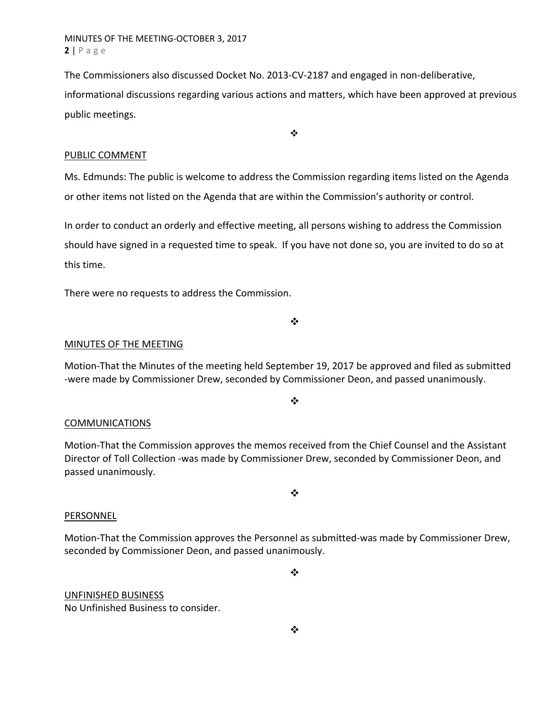MINUTES OF THE MEETING‐OCTOBER 3, 2017 **2** | Page

The Commissioners also discussed Docket No. 2013-CV-2187 and engaged in non-deliberative, informational discussions regarding various actions and matters, which have been approved at previous public meetings.

 $\ddot{\bullet}$ 

## PUBLIC COMMENT

Ms. Edmunds: The public is welcome to address the Commission regarding items listed on the Agenda or other items not listed on the Agenda that are within the Commission's authority or control.

In order to conduct an orderly and effective meeting, all persons wishing to address the Commission should have signed in a requested time to speak. If you have not done so, you are invited to do so at this time.

There were no requests to address the Commission.

❖

## MINUTES OF THE MEETING

Motion‐That the Minutes of the meeting held September 19, 2017 be approved and filed as submitted ‐were made by Commissioner Drew, seconded by Commissioner Deon, and passed unanimously.

 $\cdot$ 

### **COMMUNICATIONS**

Motion‐That the Commission approves the memos received from the Chief Counsel and the Assistant Director of Toll Collection ‐was made by Commissioner Drew, seconded by Commissioner Deon, and passed unanimously.

 $\bullet^{\bullet}_{\bullet} \bullet$ 

### PERSONNEL

Motion‐That the Commission approves the Personnel as submitted‐was made by Commissioner Drew, seconded by Commissioner Deon, and passed unanimously.

❖

# UNFINISHED BUSINESS

No Unfinished Business to consider.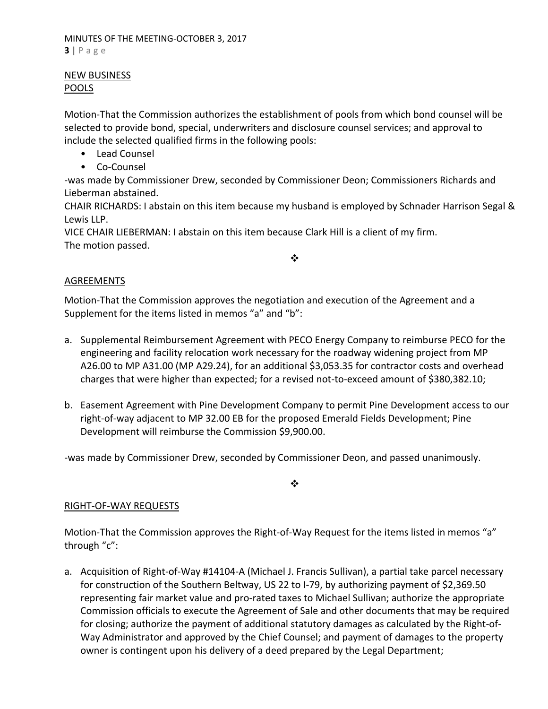## NEW BUSINESS POOLS

Motion‐That the Commission authorizes the establishment of pools from which bond counsel will be selected to provide bond, special, underwriters and disclosure counsel services; and approval to include the selected qualified firms in the following pools:

- Lead Counsel
- Co-Counsel

‐was made by Commissioner Drew, seconded by Commissioner Deon; Commissioners Richards and Lieberman abstained.

CHAIR RICHARDS: I abstain on this item because my husband is employed by Schnader Harrison Segal & Lewis LLP.

VICE CHAIR LIEBERMAN: I abstain on this item because Clark Hill is a client of my firm. The motion passed.

# $\frac{1}{2}$

# AGREEMENTS

Motion‐That the Commission approves the negotiation and execution of the Agreement and a Supplement for the items listed in memos "a" and "b":

- a. Supplemental Reimbursement Agreement with PECO Energy Company to reimburse PECO for the engineering and facility relocation work necessary for the roadway widening project from MP A26.00 to MP A31.00 (MP A29.24), for an additional \$3,053.35 for contractor costs and overhead charges that were higher than expected; for a revised not‐to‐exceed amount of \$380,382.10;
- b. Easement Agreement with Pine Development Company to permit Pine Development access to our right‐of‐way adjacent to MP 32.00 EB for the proposed Emerald Fields Development; Pine Development will reimburse the Commission \$9,900.00.

‐was made by Commissioner Drew, seconded by Commissioner Deon, and passed unanimously.

 $\frac{1}{2}$ 

# RIGHT‐OF‐WAY REQUESTS

Motion-That the Commission approves the Right-of-Way Request for the items listed in memos "a" through "c":

a. Acquisition of Right‐of‐Way #14104‐A (Michael J. Francis Sullivan), a partial take parcel necessary for construction of the Southern Beltway, US 22 to I‐79, by authorizing payment of \$2,369.50 representing fair market value and pro‐rated taxes to Michael Sullivan; authorize the appropriate Commission officials to execute the Agreement of Sale and other documents that may be required for closing; authorize the payment of additional statutory damages as calculated by the Right‐of‐ Way Administrator and approved by the Chief Counsel; and payment of damages to the property owner is contingent upon his delivery of a deed prepared by the Legal Department;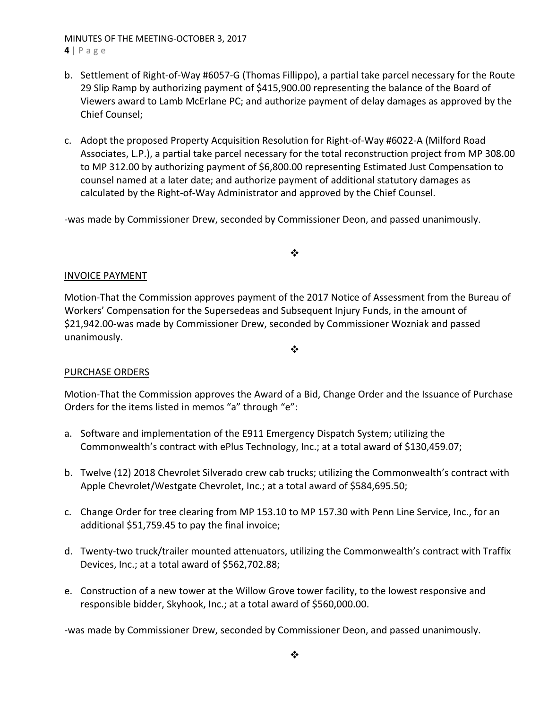# MINUTES OF THE MEETING‐OCTOBER 3, 2017

- **4** | Page
- b. Settlement of Right‐of‐Way #6057‐G (Thomas Fillippo), a partial take parcel necessary for the Route 29 Slip Ramp by authorizing payment of \$415,900.00 representing the balance of the Board of Viewers award to Lamb McErlane PC; and authorize payment of delay damages as approved by the Chief Counsel;
- c. Adopt the proposed Property Acquisition Resolution for Right‐of‐Way #6022‐A (Milford Road Associates, L.P.), a partial take parcel necessary for the total reconstruction project from MP 308.00 to MP 312.00 by authorizing payment of \$6,800.00 representing Estimated Just Compensation to counsel named at a later date; and authorize payment of additional statutory damages as calculated by the Right‐of‐Way Administrator and approved by the Chief Counsel.

‐was made by Commissioner Drew, seconded by Commissioner Deon, and passed unanimously.

❖

# INVOICE PAYMENT

Motion‐That the Commission approves payment of the 2017 Notice of Assessment from the Bureau of Workers' Compensation for the Supersedeas and Subsequent Injury Funds, in the amount of \$21,942.00‐was made by Commissioner Drew, seconded by Commissioner Wozniak and passed unanimously.

 $\frac{1}{2}$ 

# PURCHASE ORDERS

Motion‐That the Commission approves the Award of a Bid, Change Order and the Issuance of Purchase Orders for the items listed in memos "a" through "e":

- a. Software and implementation of the E911 Emergency Dispatch System; utilizing the Commonwealth's contract with ePlus Technology, Inc.; at a total award of \$130,459.07;
- b. Twelve (12) 2018 Chevrolet Silverado crew cab trucks; utilizing the Commonwealth's contract with Apple Chevrolet/Westgate Chevrolet, Inc.; at a total award of \$584,695.50;
- c. Change Order for tree clearing from MP 153.10 to MP 157.30 with Penn Line Service, Inc., for an additional \$51,759.45 to pay the final invoice;
- d. Twenty‐two truck/trailer mounted attenuators, utilizing the Commonwealth's contract with Traffix Devices, Inc.; at a total award of \$562,702.88;
- e. Construction of a new tower at the Willow Grove tower facility, to the lowest responsive and responsible bidder, Skyhook, Inc.; at a total award of \$560,000.00.

‐was made by Commissioner Drew, seconded by Commissioner Deon, and passed unanimously.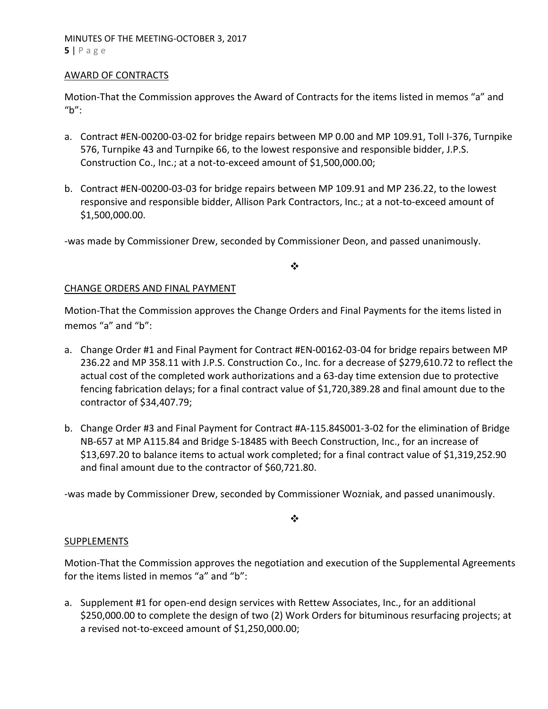## AWARD OF CONTRACTS

Motion‐That the Commission approves the Award of Contracts for the items listed in memos "a" and " $h$ ":

- a. Contract #EN‐00200‐03‐02 for bridge repairs between MP 0.00 and MP 109.91, Toll I‐376, Turnpike 576, Turnpike 43 and Turnpike 66, to the lowest responsive and responsible bidder, J.P.S. Construction Co., Inc.; at a not‐to‐exceed amount of \$1,500,000.00;
- b. Contract #EN‐00200‐03‐03 for bridge repairs between MP 109.91 and MP 236.22, to the lowest responsive and responsible bidder, Allison Park Contractors, Inc.; at a not‐to‐exceed amount of \$1,500,000.00.

‐was made by Commissioner Drew, seconded by Commissioner Deon, and passed unanimously.

 $\bullet^{\bullet}_{\bullet} \bullet$ 

## CHANGE ORDERS AND FINAL PAYMENT

Motion‐That the Commission approves the Change Orders and Final Payments for the items listed in memos "a" and "b":

- a. Change Order #1 and Final Payment for Contract #EN‐00162‐03‐04 for bridge repairs between MP 236.22 and MP 358.11 with J.P.S. Construction Co., Inc. for a decrease of \$279,610.72 to reflect the actual cost of the completed work authorizations and a 63‐day time extension due to protective fencing fabrication delays; for a final contract value of \$1,720,389.28 and final amount due to the contractor of \$34,407.79;
- b. Change Order #3 and Final Payment for Contract #A‐115.84S001‐3‐02 for the elimination of Bridge NB‐657 at MP A115.84 and Bridge S‐18485 with Beech Construction, Inc., for an increase of \$13,697.20 to balance items to actual work completed; for a final contract value of \$1,319,252.90 and final amount due to the contractor of \$60,721.80.

‐was made by Commissioner Drew, seconded by Commissioner Wozniak, and passed unanimously.

 $\frac{1}{2}$ 

## **SUPPLEMENTS**

Motion‐That the Commission approves the negotiation and execution of the Supplemental Agreements for the items listed in memos "a" and "b":

a. Supplement #1 for open‐end design services with Rettew Associates, Inc., for an additional \$250,000.00 to complete the design of two (2) Work Orders for bituminous resurfacing projects; at a revised not‐to‐exceed amount of \$1,250,000.00;